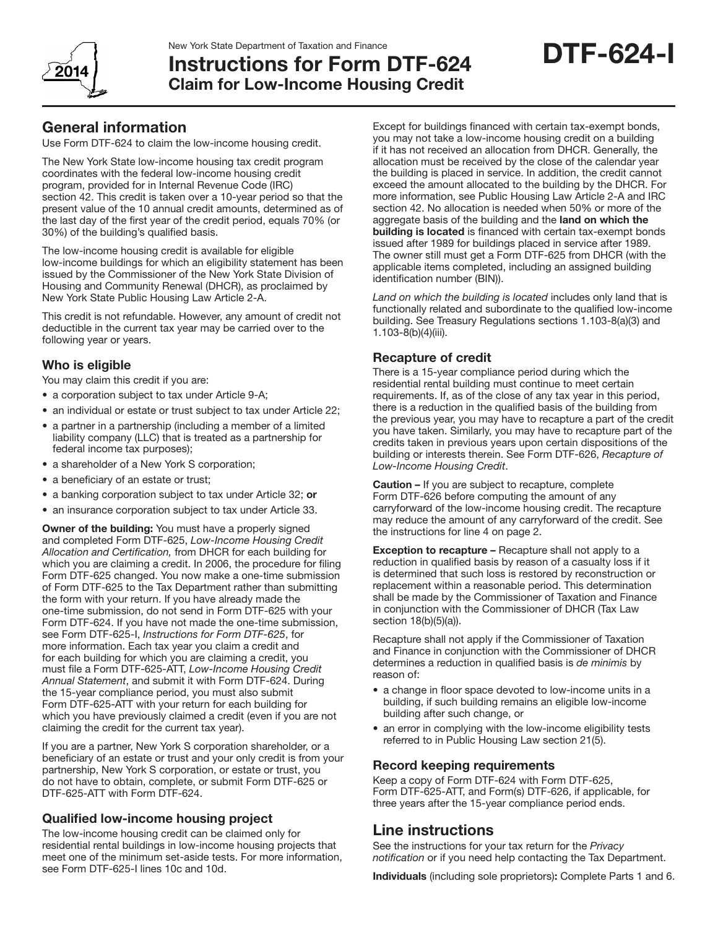

# Instructions for Form DTF-624 Claim for Low-Income Housing Credit

# General information

Use Form DTF-624 to claim the low-income housing credit.

The New York State low-income housing tax credit program coordinates with the federal low-income housing credit program, provided for in Internal Revenue Code (IRC) section 42. This credit is taken over a 10-year period so that the present value of the 10 annual credit amounts, determined as of the last day of the first year of the credit period, equals 70% (or 30%) of the building's qualified basis.

The low-income housing credit is available for eligible low-income buildings for which an eligibility statement has been issued by the Commissioner of the New York State Division of Housing and Community Renewal (DHCR), as proclaimed by New York State Public Housing Law Article 2-A.

This credit is not refundable. However, any amount of credit not deductible in the current tax year may be carried over to the following year or years.

# Who is eligible

You may claim this credit if you are:

- a corporation subject to tax under Article 9-A;
- an individual or estate or trust subject to tax under Article 22;
- a partner in a partnership (including a member of a limited liability company (LLC) that is treated as a partnership for federal income tax purposes);
- a shareholder of a New York S corporation;
- a beneficiary of an estate or trust:
- a banking corporation subject to tax under Article 32; or
- an insurance corporation subject to tax under Article 33.

Owner of the building: You must have a properly signed and completed Form DTF-625, *Low-Income Housing Credit Allocation and Certification,* from DHCR for each building for which you are claiming a credit. In 2006, the procedure for filing Form DTF-625 changed. You now make a one-time submission of Form DTF-625 to the Tax Department rather than submitting the form with your return. If you have already made the one-time submission, do not send in Form DTF-625 with your Form DTF-624. If you have not made the one-time submission, see Form DTF-625-I, *Instructions for Form DTF-625*, for more information. Each tax year you claim a credit and for each building for which you are claiming a credit, you must file a Form DTF-625-ATT, *Low-Income Housing Credit Annual Statement*, and submit it with Form DTF-624. During the 15-year compliance period, you must also submit Form DTF-625-ATT with your return for each building for which you have previously claimed a credit (even if you are not claiming the credit for the current tax year).

If you are a partner, New York S corporation shareholder, or a beneficiary of an estate or trust and your only credit is from your partnership, New York S corporation, or estate or trust, you do not have to obtain, complete, or submit Form DTF-625 or DTF-625-ATT with Form DTF-624.

# Qualified low-income housing project

The low-income housing credit can be claimed only for residential rental buildings in low-income housing projects that meet one of the minimum set-aside tests. For more information, see Form DTF-625-I lines 10c and 10d.

Except for buildings financed with certain tax-exempt bonds, you may not take a low-income housing credit on a building if it has not received an allocation from DHCR. Generally, the allocation must be received by the close of the calendar year the building is placed in service. In addition, the credit cannot exceed the amount allocated to the building by the DHCR. For more information, see Public Housing Law Article 2-A and IRC section 42. No allocation is needed when 50% or more of the aggregate basis of the building and the land on which the building is located is financed with certain tax-exempt bonds issued after 1989 for buildings placed in service after 1989. The owner still must get a Form DTF-625 from DHCR (with the applicable items completed, including an assigned building identification number (BIN)).

*Land on which the building is located* includes only land that is functionally related and subordinate to the qualified low-income building. See Treasury Regulations sections 1.103-8(a)(3) and 1.103-8(b)(4)(iii).

# Recapture of credit

There is a 15-year compliance period during which the residential rental building must continue to meet certain requirements. If, as of the close of any tax year in this period, there is a reduction in the qualified basis of the building from the previous year, you may have to recapture a part of the credit you have taken. Similarly, you may have to recapture part of the credits taken in previous years upon certain dispositions of the building or interests therein. See Form DTF-626, *Recapture of Low-Income Housing Credit*.

Caution – If you are subject to recapture, complete Form DTF-626 before computing the amount of any carryforward of the low-income housing credit. The recapture may reduce the amount of any carryforward of the credit. See the instructions for line 4 on page 2.

**Exception to recapture - Recapture shall not apply to a** reduction in qualified basis by reason of a casualty loss if it is determined that such loss is restored by reconstruction or replacement within a reasonable period. This determination shall be made by the Commissioner of Taxation and Finance in conjunction with the Commissioner of DHCR (Tax Law section 18(b)(5)(a)).

Recapture shall not apply if the Commissioner of Taxation and Finance in conjunction with the Commissioner of DHCR determines a reduction in qualified basis is *de minimis* by reason of:

- a change in floor space devoted to low-income units in a building, if such building remains an eligible low-income building after such change, or
- an error in complying with the low-income eligibility tests referred to in Public Housing Law section 21(5).

## Record keeping requirements

Keep a copy of Form DTF-624 with Form DTF-625, Form DTF-625-ATT, and Form(s) DTF-626, if applicable, for three years after the 15-year compliance period ends.

# Line instructions

See the instructions for your tax return for the *Privacy notification* or if you need help contacting the Tax Department.

Individuals (including sole proprietors): Complete Parts 1 and 6.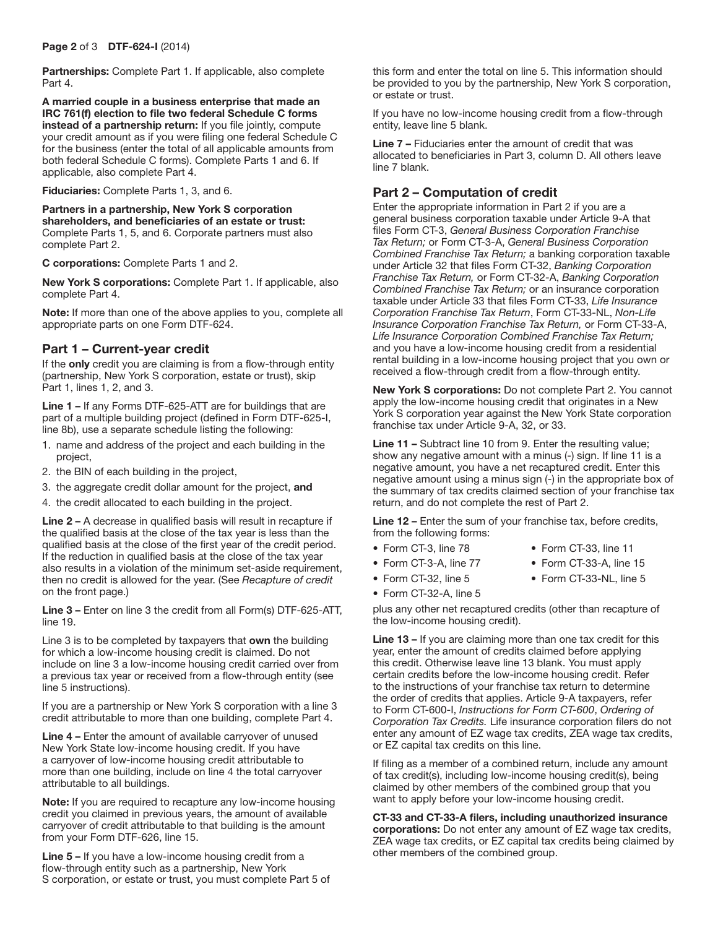Partnerships: Complete Part 1. If applicable, also complete Part 4.

A married couple in a business enterprise that made an IRC 761(f) election to file two federal Schedule C forms instead of a partnership return: If you file jointly, compute your credit amount as if you were filing one federal Schedule C for the business (enter the total of all applicable amounts from both federal Schedule C forms). Complete Parts 1 and 6. If applicable, also complete Part 4.

Fiduciaries: Complete Parts 1, 3, and 6.

Partners in a partnership, New York S corporation shareholders, and beneficiaries of an estate or trust: Complete Parts 1, 5, and 6. Corporate partners must also complete Part 2.

C corporations: Complete Parts 1 and 2.

New York S corporations: Complete Part 1. If applicable, also complete Part 4.

Note: If more than one of the above applies to you, complete all appropriate parts on one Form DTF-624.

## Part 1 – Current-year credit

If the only credit you are claiming is from a flow-through entity (partnership, New York S corporation, estate or trust), skip Part 1, lines 1, 2, and 3.

Line 1 – If any Forms DTF-625-ATT are for buildings that are part of a multiple building project (defined in Form DTF-625-I, line 8b), use a separate schedule listing the following:

- 1. name and address of the project and each building in the project,
- 2. the BIN of each building in the project,
- 3. the aggregate credit dollar amount for the project, and
- 4. the credit allocated to each building in the project.

Line 2 – A decrease in qualified basis will result in recapture if the qualified basis at the close of the tax year is less than the qualified basis at the close of the first year of the credit period. If the reduction in qualified basis at the close of the tax year also results in a violation of the minimum set-aside requirement, then no credit is allowed for the year. (See *Recapture of credit* on the front page.)

Line 3 – Enter on line 3 the credit from all Form(s) DTF-625-ATT, line 19.

Line 3 is to be completed by taxpayers that own the building for which a low-income housing credit is claimed. Do not include on line 3 a low-income housing credit carried over from a previous tax year or received from a flow-through entity (see line 5 instructions).

If you are a partnership or New York S corporation with a line 3 credit attributable to more than one building, complete Part 4.

Line 4 – Enter the amount of available carryover of unused New York State low-income housing credit. If you have a carryover of low-income housing credit attributable to more than one building, include on line 4 the total carryover attributable to all buildings.

Note: If you are required to recapture any low-income housing credit you claimed in previous years, the amount of available carryover of credit attributable to that building is the amount from your Form DTF-626, line 15.

Line 5 – If you have a low-income housing credit from a flow-through entity such as a partnership, New York S corporation, or estate or trust, you must complete Part 5 of this form and enter the total on line 5. This information should be provided to you by the partnership, New York S corporation, or estate or trust.

If you have no low-income housing credit from a flow-through entity, leave line 5 blank.

Line 7 – Fiduciaries enter the amount of credit that was allocated to beneficiaries in Part 3, column D. All others leave line 7 blank.

# Part 2 – Computation of credit

Enter the appropriate information in Part 2 if you are a general business corporation taxable under Article 9-A that files Form CT-3, *General Business Corporation Franchise Tax Return;* or Form CT-3-A, *General Business Corporation Combined Franchise Tax Return;* a banking corporation taxable under Article 32 that files Form CT-32, *Banking Corporation Franchise Tax Return,* or Form CT-32-A, *Banking Corporation Combined Franchise Tax Return;* or an insurance corporation taxable under Article 33 that files Form CT-33, *Life Insurance Corporation Franchise Tax Return*, Form CT-33-NL, *Non-Life Insurance Corporation Franchise Tax Return,* or Form CT-33-A, *Life Insurance Corporation Combined Franchise Tax Return;* and you have a low-income housing credit from a residential rental building in a low-income housing project that you own or received a flow-through credit from a flow-through entity.

New York S corporations: Do not complete Part 2. You cannot apply the low-income housing credit that originates in a New York S corporation year against the New York State corporation franchise tax under Article 9-A, 32, or 33.

Line 11 – Subtract line 10 from 9. Enter the resulting value; show any negative amount with a minus (-) sign. If line 11 is a negative amount, you have a net recaptured credit. Enter this negative amount using a minus sign (-) in the appropriate box of the summary of tax credits claimed section of your franchise tax return, and do not complete the rest of Part 2.

Line 12 – Enter the sum of your franchise tax, before credits, from the following forms:

- Form CT-3, line 78 Form CT-33, line 11
	-
- 
- Form CT-3-A, line 77 Form CT-33-A, line 15
- Form CT-32, line 5 Form CT-33-NL, line 5
- 
- Form CT-32-A, line 5

plus any other net recaptured credits (other than recapture of the low-income housing credit).

Line 13 – If you are claiming more than one tax credit for this year, enter the amount of credits claimed before applying this credit. Otherwise leave line 13 blank. You must apply certain credits before the low-income housing credit. Refer to the instructions of your franchise tax return to determine the order of credits that applies. Article 9-A taxpayers, refer to Form CT-600-I, *Instructions for Form CT-600*, *Ordering of Corporation Tax Credits.* Life insurance corporation filers do not enter any amount of EZ wage tax credits, ZEA wage tax credits, or EZ capital tax credits on this line.

If filing as a member of a combined return, include any amount of tax credit(s), including low-income housing credit(s), being claimed by other members of the combined group that you want to apply before your low-income housing credit.

#### CT-33 and CT-33-A filers, including unauthorized insurance corporations: Do not enter any amount of EZ wage tax credits,

ZEA wage tax credits, or EZ capital tax credits being claimed by other members of the combined group.